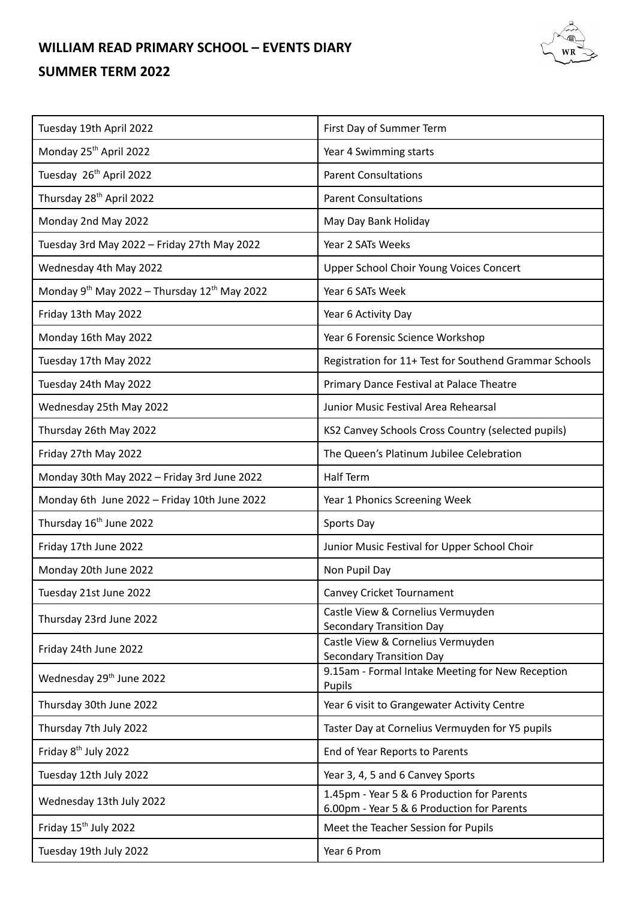## **WILLIAM READ PRIMARY SCHOOL – EVENTS DIARY**

## **SUMMER TERM 2022**

| Tuesday 19th April 2022                                              | First Day of Summer Term                                                                 |
|----------------------------------------------------------------------|------------------------------------------------------------------------------------------|
| Monday 25 <sup>th</sup> April 2022                                   | Year 4 Swimming starts                                                                   |
| Tuesday 26 <sup>th</sup> April 2022                                  | <b>Parent Consultations</b>                                                              |
| Thursday 28 <sup>th</sup> April 2022                                 | <b>Parent Consultations</b>                                                              |
| Monday 2nd May 2022                                                  | May Day Bank Holiday                                                                     |
| Tuesday 3rd May 2022 - Friday 27th May 2022                          | Year 2 SATs Weeks                                                                        |
| Wednesday 4th May 2022                                               | Upper School Choir Young Voices Concert                                                  |
| Monday 9 <sup>th</sup> May 2022 - Thursday 12 <sup>th</sup> May 2022 | Year 6 SATs Week                                                                         |
| Friday 13th May 2022                                                 | Year 6 Activity Day                                                                      |
| Monday 16th May 2022                                                 | Year 6 Forensic Science Workshop                                                         |
| Tuesday 17th May 2022                                                | Registration for 11+ Test for Southend Grammar Schools                                   |
| Tuesday 24th May 2022                                                | Primary Dance Festival at Palace Theatre                                                 |
| Wednesday 25th May 2022                                              | Junior Music Festival Area Rehearsal                                                     |
| Thursday 26th May 2022                                               | KS2 Canvey Schools Cross Country (selected pupils)                                       |
| Friday 27th May 2022                                                 | The Queen's Platinum Jubilee Celebration                                                 |
| Monday 30th May 2022 - Friday 3rd June 2022                          | <b>Half Term</b>                                                                         |
| Monday 6th June 2022 - Friday 10th June 2022                         | Year 1 Phonics Screening Week                                                            |
| Thursday 16 <sup>th</sup> June 2022                                  | Sports Day                                                                               |
| Friday 17th June 2022                                                | Junior Music Festival for Upper School Choir                                             |
| Monday 20th June 2022                                                | Non Pupil Day                                                                            |
| Tuesday 21st June 2022                                               | Canvey Cricket Tournament                                                                |
| Thursday 23rd June 2022                                              | Castle View & Cornelius Vermuyden<br><b>Secondary Transition Day</b>                     |
| Friday 24th June 2022                                                | Castle View & Cornelius Vermuyden<br><b>Secondary Transition Day</b>                     |
| Wednesday 29th June 2022                                             | 9.15am - Formal Intake Meeting for New Reception<br>Pupils                               |
| Thursday 30th June 2022                                              | Year 6 visit to Grangewater Activity Centre                                              |
| Thursday 7th July 2022                                               | Taster Day at Cornelius Vermuyden for Y5 pupils                                          |
| Friday 8 <sup>th</sup> July 2022                                     | End of Year Reports to Parents                                                           |
| Tuesday 12th July 2022                                               | Year 3, 4, 5 and 6 Canvey Sports                                                         |
| Wednesday 13th July 2022                                             | 1.45pm - Year 5 & 6 Production for Parents<br>6.00pm - Year 5 & 6 Production for Parents |
| Friday 15 <sup>th</sup> July 2022                                    | Meet the Teacher Session for Pupils                                                      |
| Tuesday 19th July 2022                                               | Year 6 Prom                                                                              |